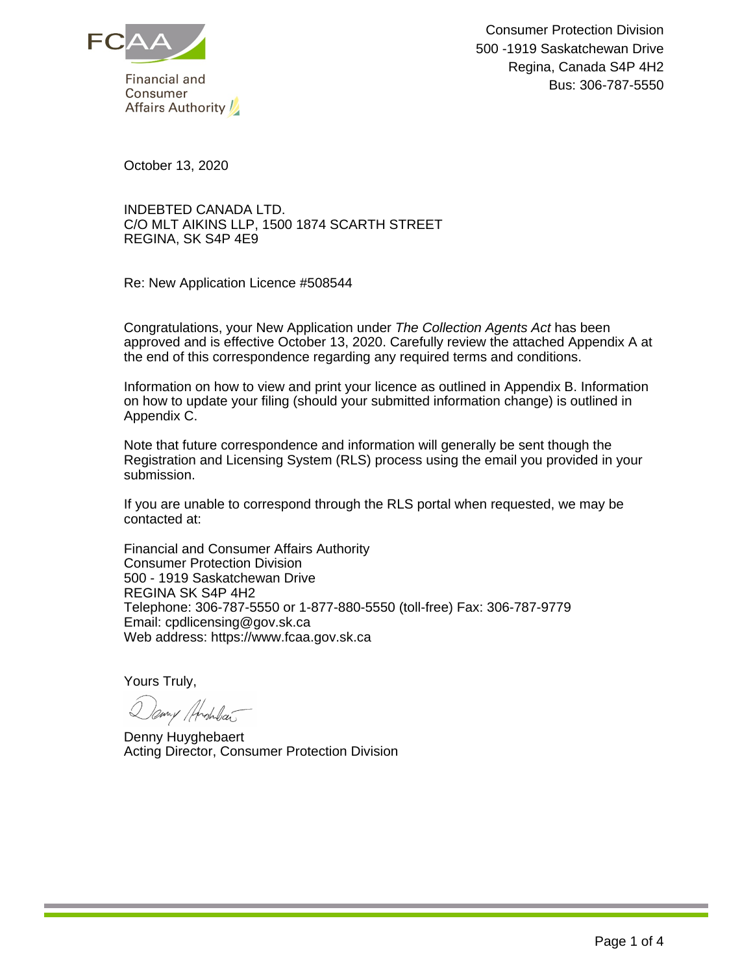

October 13, 2020

INDEBTED CANADA LTD. C/O MLT AIKINS LLP, 1500 1874 SCARTH STREET REGINA, SK S4P 4E9

Re: New Application Licence #508544

Congratulations, your New Application under The Collection Agents Act has been approved and is effective October 13, 2020. Carefully review the attached Appendix A at the end of this correspondence regarding any required terms and conditions.

Information on how to view and print your licence as outlined in Appendix B. Information on how to update your filing (should your submitted information change) is outlined in Appendix C.

Note that future correspondence and information will generally be sent though the Registration and Licensing System (RLS) process using the email you provided in your submission.

If you are unable to correspond through the RLS portal when requested, we may be contacted at:

Financial and Consumer Affairs Authority Consumer Protection Division 500 - 1919 Saskatchewan Drive REGINA SK S4P 4H2 Telephone: 306-787-5550 or 1-877-880-5550 (toll-free) Fax: 306-787-9779 Email: cpdlicensing@gov.sk.ca Web address: https://www.fcaa.gov.sk.ca

Yours Truly,

Dany Anshear

Denny Huyghebaert Acting Director, Consumer Protection Division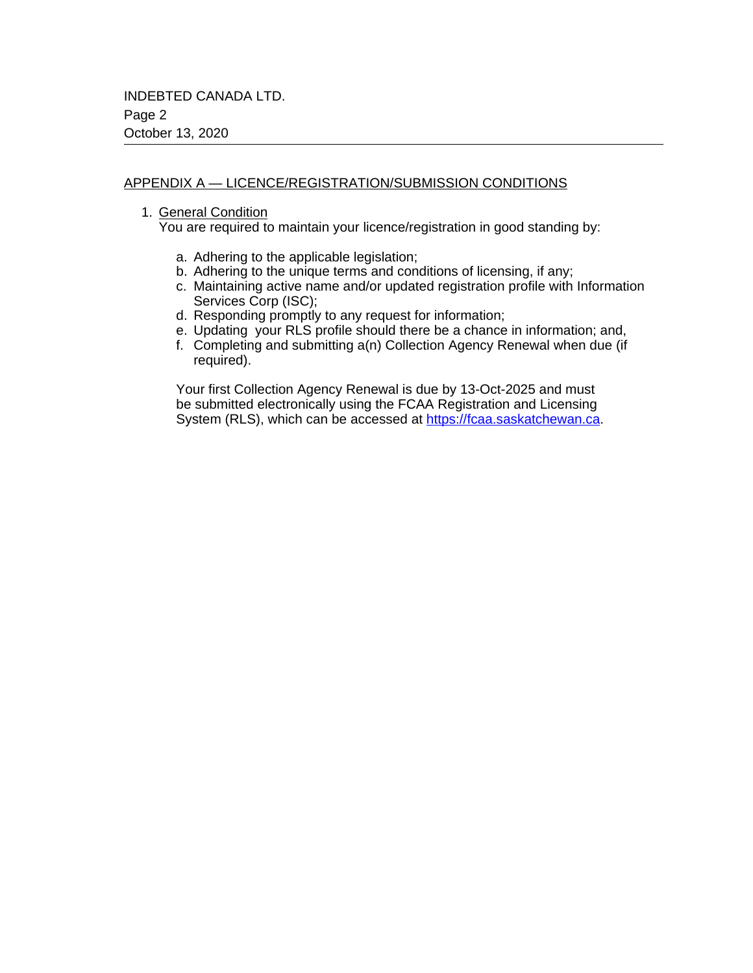## APPENDIX A — LICENCE/REGISTRATION/SUBMISSION CONDITIONS

1. General Condition

You are required to maintain your licence/registration in good standing by:

- a. Adhering to the applicable legislation;
- b. Adhering to the unique terms and conditions of licensing, if any;
- c. Maintaining active name and/or updated registration profile with Information Services Corp (ISC);
- d. Responding promptly to any request for information;
- e. Updating your RLS profile should there be a chance in information; and,
- f. Completing and submitting a(n) Collection Agency Renewal when due (if required).

Your first Collection Agency Renewal is due by 13-Oct-2025 and must be submitted electronically using the FCAA Registration and Licensing System (RLS), which can be accessed at <https://fcaa.saskatchewan.ca>.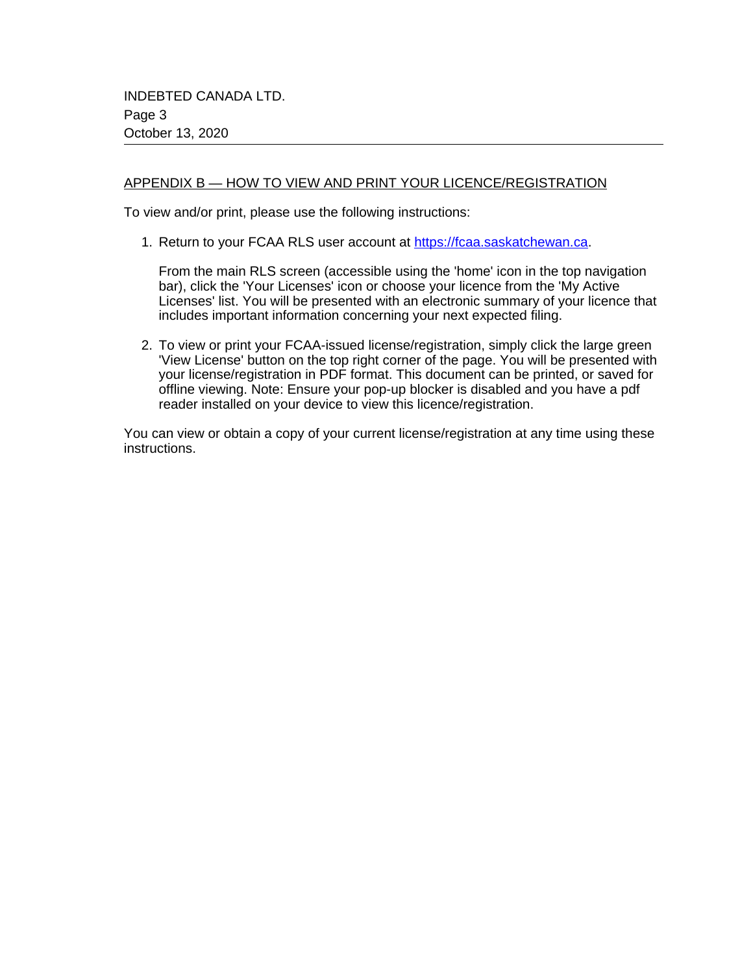## APPENDIX B — HOW TO VIEW AND PRINT YOUR LICENCE/REGISTRATION

To view and/or print, please use the following instructions:

1. Return to your FCAA RLS user account at<https://fcaa.saskatchewan.ca>.

From the main RLS screen (accessible using the 'home' icon in the top navigation bar), click the 'Your Licenses' icon or choose your licence from the 'My Active Licenses' list. You will be presented with an electronic summary of your licence that includes important information concerning your next expected filing.

2. To view or print your FCAA-issued license/registration, simply click the large green 'View License' button on the top right corner of the page. You will be presented with your license/registration in PDF format. This document can be printed, or saved for offline viewing. Note: Ensure your pop-up blocker is disabled and you have a pdf reader installed on your device to view this licence/registration.

You can view or obtain a copy of your current license/registration at any time using these instructions.